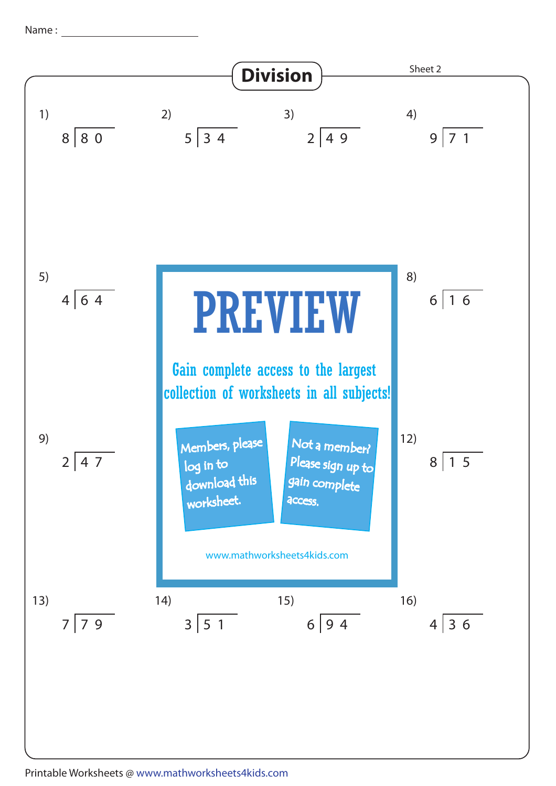